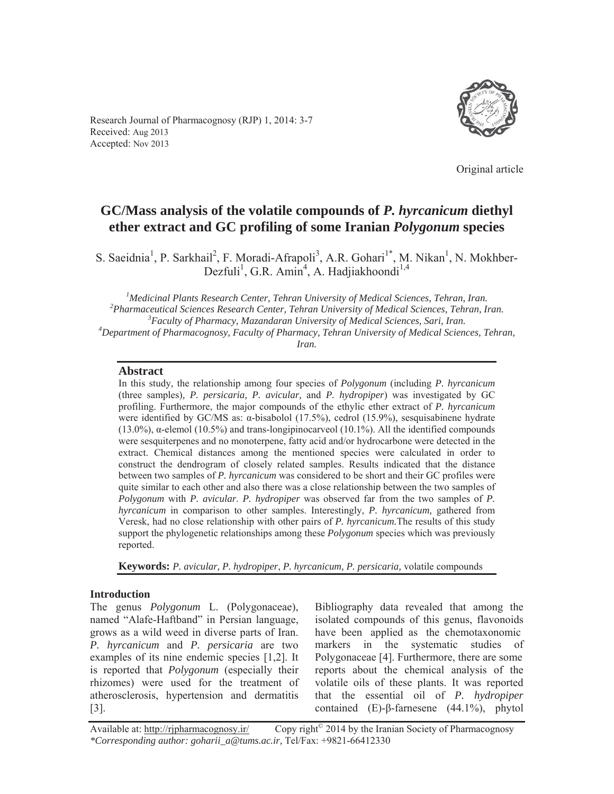Research Journal of Pharmacognosy (RJP) 1, 2014: 3-7 Received: Aug 2013 Accepted: Nov 2013



Original article

# **GC/Mass analysis of the volatile compounds of** *P. hyrcanicum* **diethyl ether extract and GC profiling of some Iranian** *Polygonum* **species**

S. Saeidnia<sup>1</sup>, P. Sarkhail<sup>2</sup>, F. Moradi-Afrapoli<sup>3</sup>, A.R. Gohari<sup>1\*</sup>, M. Nikan<sup>1</sup>, N. Mokhber-Dezfuli<sup>1</sup>, G.R. Amin<sup>4</sup>, A. Hadjiakhoondi<sup>1,4</sup>

<sup>1</sup> *Medicinal Plants Research Center, Tehran University of Medical Sciences, Tehran, Iran.*<br><sup>2</sup> Pharmaceutical Sciences Research Center, Tehran University of Medical Sciences, Tehran, Ir <sup>2</sup> Pharmaceutical Sciences Research Center, Tehran University of Medical Sciences, Tehran, Iran. *Faculty of Pharmacy, Mazandaran University of Medical Sciences, Sari, Iran. <sup>4</sup> Department of Pharmacognosy, Faculty of Pharmacy, Tehran University of Medical Sciences, Tehran, Iran.* 

#### **Abstract**

In this study, the relationship among four species of *Polygonum* (including *P. hyrcanicum*  (three samples)*, P. persicaria, P. avicular,* and *P. hydropiper*) was investigated by GC profiling. Furthermore, the major compounds of the ethylic ether extract of *P. hyrcanicum* were identified by GC/MS as:  $\alpha$ -bisabolol (17.5%), cedrol (15.9%), sesquisabinene hydrate  $(13.0\%)$ ,  $\alpha$ -elemol  $(10.5\%)$  and trans-longipinocarveol  $(10.1\%)$ . All the identified compounds were sesquiterpenes and no monoterpene, fatty acid and/or hydrocarbone were detected in the extract. Chemical distances among the mentioned species were calculated in order to construct the dendrogram of closely related samples. Results indicated that the distance between two samples of *P. hyrcanicum* was considered to be short and their GC profiles were quite similar to each other and also there was a close relationship between the two samples of *Polygonum* with *P. avicular*. *P. hydropiper* was observed far from the two samples of *P. hyrcanicum* in comparison to other samples. Interestingly, *P. hyrcanicum,* gathered from Veresk, had no close relationship with other pairs of *P. hyrcanicum.*The results of this study support the phylogenetic relationships among these *Polygonum* species which was previously reported.

**Keywords:** *P. avicular, P. hydropiper*, *P. hyrcanicum, P. persicaria,* volatile compounds

#### **Introduction**

The genus *Polygonum* L. (Polygonaceae), named "Alafe-Haftband" in Persian language, grows as a wild weed in diverse parts of Iran. *P. hyrcanicum* and *P. persicaria* are two examples of its nine endemic species [1,2]. It is reported that *Polygonum* (especially their rhizomes) were used for the treatment of atherosclerosis, hypertension and dermatitis  $|3|$ .

Bibliography data revealed that among the isolated compounds of this genus, flavonoids have been applied as the chemotaxonomic markers in the systematic studies of Polygonaceae [4]. Furthermore, there are some reports about the chemical analysis of the volatile oils of these plants. It was reported that the essential oil of *P. hydropiper*  contained  $(E)$ - $\beta$ -farnesene  $(44.1\%)$ , phytol

Available at: http://rjpharmacognosy.ir/ Copy right<sup>©</sup> 2014 by the Iranian Society of Pharmacognosy *\*Corresponding author: goharii\_a@tums.ac.ir,* Tel/Fax: +9821-66412330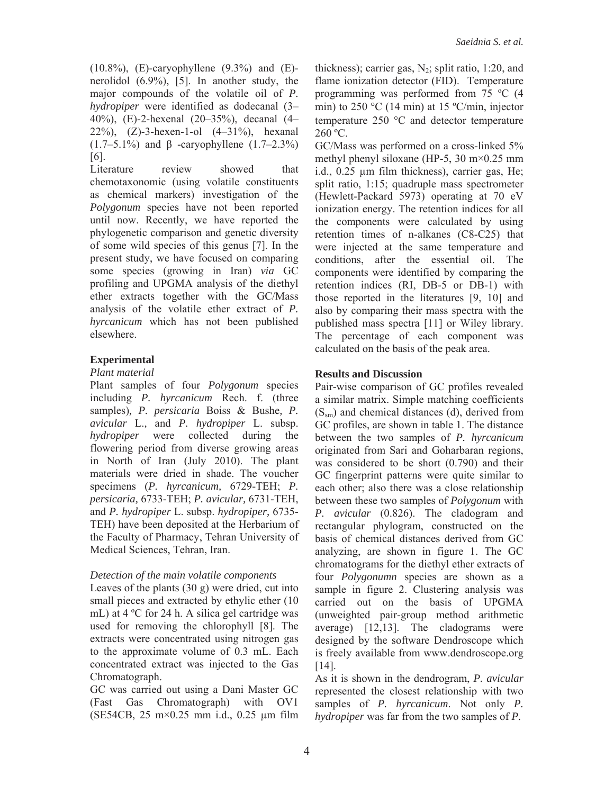$(10.8\%)$ , (E)-caryophyllene  $(9.3\%)$  and (E)nerolidol (6.9%), [5]. In another study, the major compounds of the volatile oil of *P. hydropiper* were identified as dodecanal (3– 40%), (E)-2-hexenal (20–35%), decanal (4– 22%), (Z)-3-hexen-1-ol (4–31%), hexanal (1.7–5.1%) and  $\beta$  -caryophyllene (1.7–2.3%) [6].

Literature review showed that chemotaxonomic (using volatile constituents as chemical markers) investigation of the *Polygonum* species have not been reported until now. Recently, we have reported the phylogenetic comparison and genetic diversity of some wild species of this genus [7]. In the present study, we have focused on comparing some species (growing in Iran) *via* GC profiling and UPGMA analysis of the diethyl ether extracts together with the GC/Mass analysis of the volatile ether extract of *P. hyrcanicum* which has not been published elsewhere.

# **Experimental**

### *Plant material*

Plant samples of four *Polygonum* species including *P. hyrcanicum* Rech. f. (three samples)*, P. persicaria* Boiss & Bushe*, P. avicular* L.*,* and *P. hydropiper* L. subsp. *hydropiper* were collected during the flowering period from diverse growing areas in North of Iran (July 2010). The plant materials were dried in shade. The voucher specimens (*P. hyrcanicum,* 6729-TEH; *P. persicaria,* 6733-TEH; *P. avicular,* 6731-TEH, and *P. hydropiper* L. subsp. *hydropiper,* 6735- TEH) have been deposited at the Herbarium of the Faculty of Pharmacy, Tehran University of Medical Sciences, Tehran, Iran.

# *Detection of the main volatile components*

Leaves of the plants (30 g) were dried, cut into small pieces and extracted by ethylic ether (10 mL) at 4 ºC for 24 h. A silica gel cartridge was used for removing the chlorophyll [8]. The extracts were concentrated using nitrogen gas to the approximate volume of 0.3 mL. Each concentrated extract was injected to the Gas Chromatograph.

GC was carried out using a Dani Master GC (Fast Gas Chromatograph) with OV1 (SE54CB, 25 m×0.25 mm i.d., 0.25 μm film

thickness); carrier gas,  $N_2$ ; split ratio, 1:20, and flame ionization detector (FID). Temperature programming was performed from 75 ºC (4 min) to 250  $\rm{^{\circ}C}$  (14 min) at 15  $\rm{^{\circ}C/min}$ , injector temperature  $250 \degree C$  and detector temperature  $260 °C$ .

GC/Mass was performed on a cross-linked 5% methyl phenyl siloxane (HP-5, 30 m×0.25 mm i.d., 0.25 μm film thickness), carrier gas, He; split ratio, 1:15; quadruple mass spectrometer (Hewlett-Packard 5973) operating at 70 eV ionization energy. The retention indices for all the components were calculated by using retention times of n-alkanes (C8-C25) that were injected at the same temperature and conditions, after the essential oil. The components were identified by comparing the retention indices (RI, DB-5 or DB-1) with those reported in the literatures [9, 10] and also by comparing their mass spectra with the published mass spectra [11] or Wiley library. The percentage of each component was calculated on the basis of the peak area.

# **Results and Discussion**

Pair-wise comparison of GC profiles revealed a similar matrix. Simple matching coefficients  $(S<sub>sm</sub>)$  and chemical distances (d), derived from GC profiles, are shown in table 1. The distance between the two samples of *P. hyrcanicum* originated from Sari and Goharbaran regions, was considered to be short (0.790) and their GC fingerprint patterns were quite similar to each other; also there was a close relationship between these two samples of *Polygonum* with *P. avicular* (0.826). The cladogram and rectangular phylogram, constructed on the basis of chemical distances derived from GC analyzing, are shown in figure 1. The GC chromatograms for the diethyl ether extracts of four *Polygonumn* species are shown as a sample in figure 2. Clustering analysis was carried out on the basis of UPGMA (unweighted pair-group method arithmetic average) [12,13]. The cladograms were designed by the software Dendroscope which is freely available from www.dendroscope.org [14].

As it is shown in the dendrogram, *P. avicular*  represented the closest relationship with two samples of *P. hyrcanicum*. Not only *P. hydropiper* was far from the two samples of *P.*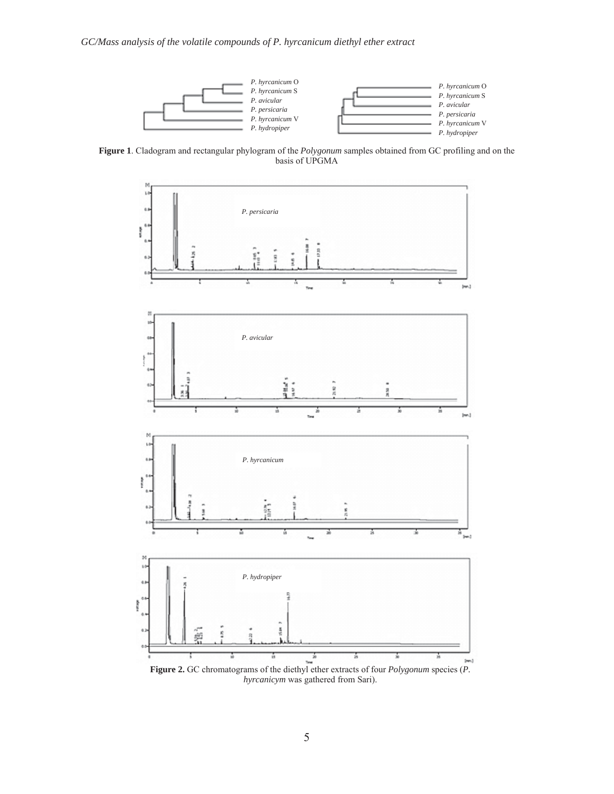

**Figure 1**. Cladogram and rectangular phylogram of the *Polygonum* samples obtained from GC profiling and on the basis of UPGMA



*hyrcanicym* was gathered from Sari).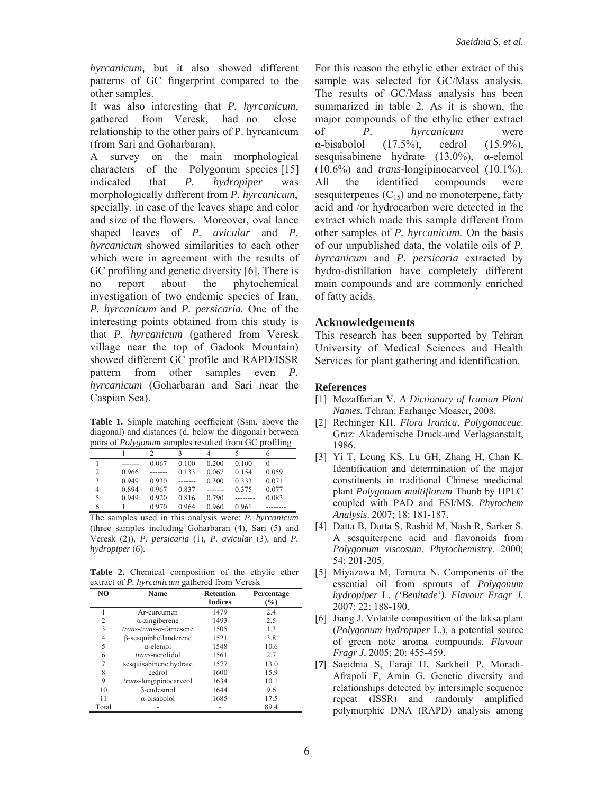*hyrcanicum,* but it also showed different patterns of GC fingerprint compared to the other samples.

It was also interesting that *P. hyrcanicum,*  gathered from Veresk, had no close relationship to the other pairs of P. hyrcanicum (from Sari and Goharbaran).

A survey on the main morphological characters of the Polygonum species [15] indicated that *P. hydropiper* was morphologically different from *P. hyrcanicum*, specially, in case of the leaves shape and color and size of the flowers. Moreover, oval lance shaped leaves of *P. avicular* and *P. hyrcanicum* showed similarities to each other which were in agreement with the results of GC profiling and genetic diversity [6]. There is no report about the phytochemical investigation of two endemic species of Iran, *P. hyrcanicum* and *P. persicaria.* One of the interesting points obtained from this study is that *P. hyrcanicum* (gathered from Veresk village near the top of Gadook Mountain) showed different GC profile and RAPD/ISSR pattern from other samples even *P. hyrcanicum* (Goharbaran and Sari near the Caspian Sea).

**Table 1.** Simple matching coefficient (Ssm, above the diagonal) and distances (d, below the diagonal) between pairs of *Polygonum* samples resulted from GC profiling

|   |       | 0.067 | 0.100 | 0.200 | 0.100 | 0     |
|---|-------|-------|-------|-------|-------|-------|
| 2 | 0.966 |       | 0.133 | 0.067 | 0.154 | 0.059 |
| 3 | 0.949 | 0.930 |       | 0.300 | 0.333 | 0.071 |
| 4 | 0.894 | 0.967 | 0.837 |       | 0.375 | 0.077 |
| 5 | 0.949 | 0.920 | 0.816 | 0.790 |       | 0.083 |
| 6 |       | 0.970 | 0.964 | 0.960 | 0.961 |       |

The samples used in this analysis were: *P. hyrcanicum* (three samples including Goharbaran (4), Sari (5) and Veresk (2))*, P. persicaria* (1)*, P. avicular* (3)*,* and *P. hydropiper* (6).

Table 2. Chemical composition of the ethylic ether extract of *P. hyrcanicum* gathered from Veresk

| NO    | <b>Name</b>                                      | <b>Retention</b><br><b>Indices</b> | Percentage<br>(%) |
|-------|--------------------------------------------------|------------------------------------|-------------------|
|       | Ar-curcumen                                      | 1479                               | 2.4               |
| 2     | $\alpha$ -zingiberene                            | 1493                               | 2.5               |
| 3     | $trans\text{-}trans\text{-}\alpha\text{-}frames$ | 1505                               | 1.3               |
| 4     | $\beta$ -sesquiphellanderene                     | 1521                               | 3.8               |
| 5     | $\alpha$ -elemol                                 | 1548                               | 10.6              |
| 6     | <i>trans</i> -nerolidol                          | 1561                               | 2.7               |
| 7     | sesquisabinene hydrate                           | 1577                               | 13.0              |
| 8     | cedrol                                           | 1600                               | 15.9              |
| 9     | <i>trans</i> -longipinocarveol                   | 1634                               | 10.1              |
| 10    | β-eudesmol                                       | 1644                               | 9.6               |
| 11    | $\alpha$ -bisabolol                              | 1685                               | 17.5              |
| Total |                                                  |                                    | 89.4              |

For this reason the ethylic ether extract of this sample was selected for GC/Mass analysis. The results of GC/Mass analysis has been summarized in table 2. As it is shown, the major compounds of the ethylic ether extract of *P. hyrcanicum* were  $\alpha$ -bisabolol (17.5%), cedrol (15.9%), sesquisabinene hydrate  $(13.0\%)$ ,  $\alpha$ -elemol (10.6%) and *trans*-longipinocarveol (10.1%). All the identified compounds were sesquiterpenes  $(C_{15})$  and no monoterpene, fatty acid and /or hydrocarbon were detected in the extract which made this sample different from other samples of *P. hyrcanicum.* On the basis of our unpublished data, the volatile oils of *P. hyrcanicum* and *P. persicaria* extracted by hydro-distillation have completely different main compounds and are commonly enriched of fatty acids.

#### **Acknowledgements**

This research has been supported by Tehran University of Medical Sciences and Health Services for plant gathering and identification.

#### **References**

- [1] Mozaffarian V. *A Dictionary of Iranian Plant Names.* Tehran: Farhange Moaser, 2008.
- [2] Rechinger KH. *Flora Iranica, Polygonaceae*. Graz: Akademische Druck-und Verlagsanstalt, 1986.
- [3] Yi T, Leung KS, Lu GH, Zhang H, Chan K. Identification and determination of the major constituents in traditional Chinese medicinal plant *Polygonum multiflorum* Thunb by HPLC coupled with PAD and ESI/MS. *Phytochem Analysis*. 2007; 18: 181-187.
- [4] Datta B, Datta S, Rashid M, Nash R, Sarker S. A sesquiterpene acid and flavonoids from *Polygonum viscosum*. *Phytochemistry*. 2000; 54: 201-205.
- [5] Miyazawa M, Tamura N. Components of the essential oil from sprouts of *Polygonum hydropiper* L. *('Benitade'). Flavour Fragr J.* 2007; 22: 188-190.
- [6] Jiang J. Volatile composition of the laksa plant (*Polygonum hydropiper* L.), a potential source of green note aroma compounds. *Flavour Fragr J.* 2005; 20: 455-459.
- **[7]** Saeidnia S, Faraji H, Sarkheil P, Moradi-Afrapoli F, Amin G. Genetic diversity and relationships detected by intersimple sequence repeat (ISSR) and randomly amplified polymorphic DNA (RAPD) analysis among